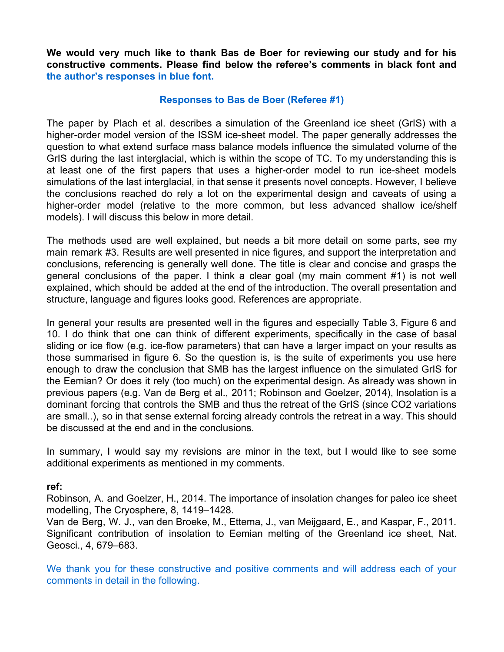**We would very much like to thank Bas de Boer for reviewing our study and for his constructive comments. Please find below the referee's comments in black font and the author's responses in blue font.**

#### **Responses to Bas de Boer (Referee #1)**

The paper by Plach et al. describes a simulation of the Greenland ice sheet (GrIS) with a higher-order model version of the ISSM ice-sheet model. The paper generally addresses the question to what extend surface mass balance models influence the simulated volume of the GrIS during the last interglacial, which is within the scope of TC. To my understanding this is at least one of the first papers that uses a higher-order model to run ice-sheet models simulations of the last interglacial, in that sense it presents novel concepts. However, I believe the conclusions reached do rely a lot on the experimental design and caveats of using a higher-order model (relative to the more common, but less advanced shallow ice/shelf models). I will discuss this below in more detail.

The methods used are well explained, but needs a bit more detail on some parts, see my main remark #3. Results are well presented in nice figures, and support the interpretation and conclusions, referencing is generally well done. The title is clear and concise and grasps the general conclusions of the paper. I think a clear goal (my main comment #1) is not well explained, which should be added at the end of the introduction. The overall presentation and structure, language and figures looks good. References are appropriate.

In general your results are presented well in the figures and especially Table 3, Figure 6 and 10. I do think that one can think of different experiments, specifically in the case of basal sliding or ice flow (e.g. ice-flow parameters) that can have a larger impact on your results as those summarised in figure 6. So the question is, is the suite of experiments you use here enough to draw the conclusion that SMB has the largest influence on the simulated GrIS for the Eemian? Or does it rely (too much) on the experimental design. As already was shown in previous papers (e.g. Van de Berg et al., 2011; Robinson and Goelzer, 2014), Insolation is a dominant forcing that controls the SMB and thus the retreat of the GrIS (since CO2 variations are small..), so in that sense external forcing already controls the retreat in a way. This should be discussed at the end and in the conclusions.

In summary, I would say my revisions are minor in the text, but I would like to see some additional experiments as mentioned in my comments.

## **ref:**

Robinson, A. and Goelzer, H., 2014. The importance of insolation changes for paleo ice sheet modelling, The Cryosphere, 8, 1419–1428.

Van de Berg, W. J., van den Broeke, M., Ettema, J., van Meijgaard, E., and Kaspar, F., 2011. Significant contribution of insolation to Eemian melting of the Greenland ice sheet, Nat. Geosci., 4, 679–683.

We thank you for these constructive and positive comments and will address each of your comments in detail in the following.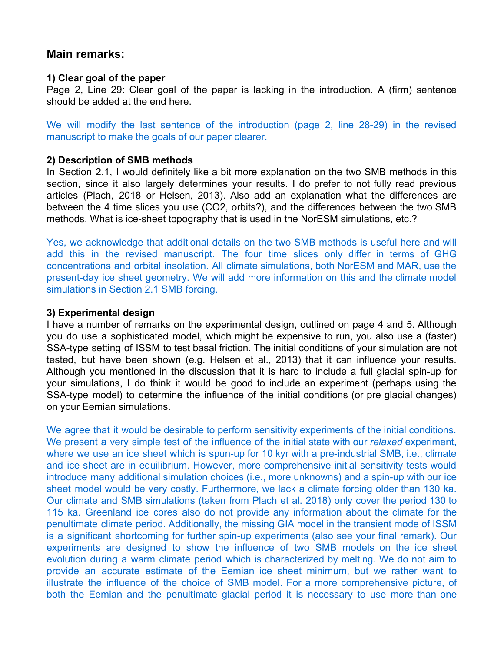# **Main remarks:**

#### **1) Clear goal of the paper**

Page 2, Line 29: Clear goal of the paper is lacking in the introduction. A (firm) sentence should be added at the end here.

We will modify the last sentence of the introduction (page 2, line 28-29) in the revised manuscript to make the goals of our paper clearer.

#### **2) Description of SMB methods**

In Section 2.1, I would definitely like a bit more explanation on the two SMB methods in this section, since it also largely determines your results. I do prefer to not fully read previous articles (Plach, 2018 or Helsen, 2013). Also add an explanation what the differences are between the 4 time slices you use (CO2, orbits?), and the differences between the two SMB methods. What is ice-sheet topography that is used in the NorESM simulations, etc.?

Yes, we acknowledge that additional details on the two SMB methods is useful here and will add this in the revised manuscript. The four time slices only differ in terms of GHG concentrations and orbital insolation. All climate simulations, both NorESM and MAR, use the present-day ice sheet geometry. We will add more information on this and the climate model simulations in Section 2.1 SMB forcing.

#### **3) Experimental design**

I have a number of remarks on the experimental design, outlined on page 4 and 5. Although you do use a sophisticated model, which might be expensive to run, you also use a (faster) SSA-type setting of ISSM to test basal friction. The initial conditions of your simulation are not tested, but have been shown (e.g. Helsen et al., 2013) that it can influence your results. Although you mentioned in the discussion that it is hard to include a full glacial spin-up for your simulations, I do think it would be good to include an experiment (perhaps using the SSA-type model) to determine the influence of the initial conditions (or pre glacial changes) on your Eemian simulations.

We agree that it would be desirable to perform sensitivity experiments of the initial conditions. We present a very simple test of the influence of the initial state with our *relaxed* experiment, where we use an ice sheet which is spun-up for 10 kyr with a pre-industrial SMB, i.e., climate and ice sheet are in equilibrium. However, more comprehensive initial sensitivity tests would introduce many additional simulation choices (i.e., more unknowns) and a spin-up with our ice sheet model would be very costly. Furthermore, we lack a climate forcing older than 130 ka. Our climate and SMB simulations (taken from Plach et al. 2018) only cover the period 130 to 115 ka. Greenland ice cores also do not provide any information about the climate for the penultimate climate period. Additionally, the missing GIA model in the transient mode of ISSM is a significant shortcoming for further spin-up experiments (also see your final remark). Our experiments are designed to show the influence of two SMB models on the ice sheet evolution during a warm climate period which is characterized by melting. We do not aim to provide an accurate estimate of the Eemian ice sheet minimum, but we rather want to illustrate the influence of the choice of SMB model. For a more comprehensive picture, of both the Eemian and the penultimate glacial period it is necessary to use more than one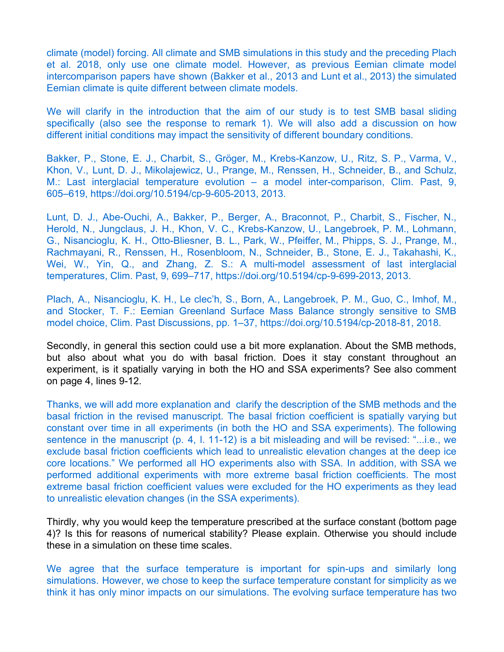climate (model) forcing. All climate and SMB simulations in this study and the preceding Plach et al. 2018, only use one climate model. However, as previous Eemian climate model intercomparison papers have shown (Bakker et al., 2013 and Lunt et al., 2013) the simulated Eemian climate is quite different between climate models.

We will clarify in the introduction that the aim of our study is to test SMB basal sliding specifically (also see the response to remark 1). We will also add a discussion on how different initial conditions may impact the sensitivity of different boundary conditions.

Bakker, P., Stone, E. J., Charbit, S., Gröger, M., Krebs-Kanzow, U., Ritz, S. P., Varma, V., Khon, V., Lunt, D. J., Mikolajewicz, U., Prange, M., Renssen, H., Schneider, B., and Schulz, M.: Last interglacial temperature evolution – a model inter-comparison, Clim. Past, 9, 605–619, [https://doi.org/10.5194/cp-9-605-2013,](https://doi.org/10.5194/cp-9-605-2013) 2013.

Lunt, D. J., Abe-Ouchi, A., Bakker, P., Berger, A., Braconnot, P., Charbit, S., Fischer, N., Herold, N., Jungclaus, J. H., Khon, V. C., Krebs-Kanzow, U., Langebroek, P. M., Lohmann, G., Nisancioglu, K. H., Otto-Bliesner, B. L., Park, W., Pfeiffer, M., Phipps, S. J., Prange, M., Rachmayani, R., Renssen, H., Rosenbloom, N., Schneider, B., Stone, E. J., Takahashi, K., Wei, W., Yin, Q., and Zhang, Z. S.: A multi-model assessment of last interglacial temperatures, Clim. Past, 9, 699–717, [https://doi.org/10.5194/cp-9-699-2013,](https://doi.org/10.5194/cp-9-699-2013) 2013.

Plach, A., Nisancioglu, K. H., Le clec'h, S., Born, A., Langebroek, P. M., Guo, C., Imhof, M., and Stocker, T. F.: Eemian Greenland Surface Mass Balance strongly sensitive to SMB model choice, Clim. Past Discussions, pp. 1–37, https://doi.org/10.5194/cp-2018-81, 2018.

Secondly, in general this section could use a bit more explanation. About the SMB methods, but also about what you do with basal friction. Does it stay constant throughout an experiment, is it spatially varying in both the HO and SSA experiments? See also comment on page 4, lines 9-12.

Thanks, we will add more explanation and clarify the description of the SMB methods and the basal friction in the revised manuscript. The basal friction coefficient is spatially varying but constant over time in all experiments (in both the HO and SSA experiments). The following sentence in the manuscript (p. 4, l. 11-12) is a bit misleading and will be revised: "...i.e., we exclude basal friction coefficients which lead to unrealistic elevation changes at the deep ice core locations." We performed all HO experiments also with SSA. In addition, with SSA we performed additional experiments with more extreme basal friction coefficients. The most extreme basal friction coefficient values were excluded for the HO experiments as they lead to unrealistic elevation changes (in the SSA experiments).

Thirdly, why you would keep the temperature prescribed at the surface constant (bottom page 4)? Is this for reasons of numerical stability? Please explain. Otherwise you should include these in a simulation on these time scales.

We agree that the surface temperature is important for spin-ups and similarly long simulations. However, we chose to keep the surface temperature constant for simplicity as we think it has only minor impacts on our simulations. The evolving surface temperature has two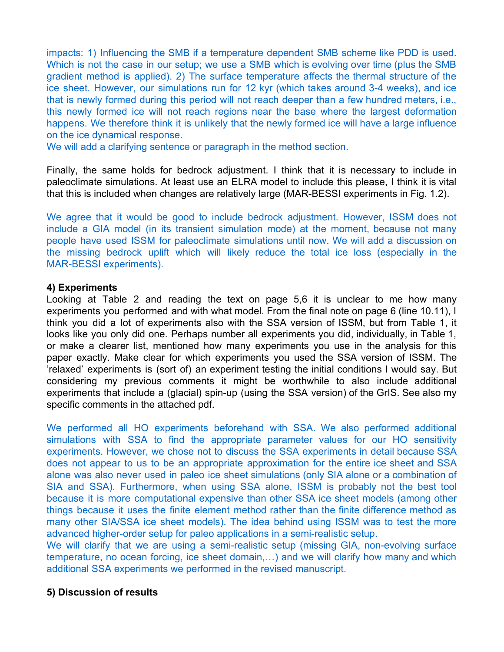impacts: 1) Influencing the SMB if a temperature dependent SMB scheme like PDD is used. Which is not the case in our setup; we use a SMB which is evolving over time (plus the SMB gradient method is applied). 2) The surface temperature affects the thermal structure of the ice sheet. However, our simulations run for 12 kyr (which takes around 3-4 weeks), and ice that is newly formed during this period will not reach deeper than a few hundred meters, i.e., this newly formed ice will not reach regions near the base where the largest deformation happens. We therefore think it is unlikely that the newly formed ice will have a large influence on the ice dynamical response.

We will add a clarifying sentence or paragraph in the method section.

Finally, the same holds for bedrock adjustment. I think that it is necessary to include in paleoclimate simulations. At least use an ELRA model to include this please, I think it is vital that this is included when changes are relatively large (MAR-BESSI experiments in Fig. 1.2).

We agree that it would be good to include bedrock adjustment. However, ISSM does not include a GIA model (in its transient simulation mode) at the moment, because not many people have used ISSM for paleoclimate simulations until now. We will add a discussion on the missing bedrock uplift which will likely reduce the total ice loss (especially in the MAR-BESSI experiments).

#### **4) Experiments**

Looking at Table 2 and reading the text on page 5,6 it is unclear to me how many experiments you performed and with what model. From the final note on page 6 (line 10.11), I think you did a lot of experiments also with the SSA version of ISSM, but from Table 1, it looks like you only did one. Perhaps number all experiments you did, individually, in Table 1, or make a clearer list, mentioned how many experiments you use in the analysis for this paper exactly. Make clear for which experiments you used the SSA version of ISSM. The 'relaxed' experiments is (sort of) an experiment testing the initial conditions I would say. But considering my previous comments it might be worthwhile to also include additional experiments that include a (glacial) spin-up (using the SSA version) of the GrIS. See also my specific comments in the attached pdf.

We performed all HO experiments beforehand with SSA. We also performed additional simulations with SSA to find the appropriate parameter values for our HO sensitivity experiments. However, we chose not to discuss the SSA experiments in detail because SSA does not appear to us to be an appropriate approximation for the entire ice sheet and SSA alone was also never used in paleo ice sheet simulations (only SIA alone or a combination of SIA and SSA). Furthermore, when using SSA alone, ISSM is probably not the best tool because it is more computational expensive than other SSA ice sheet models (among other things because it uses the finite element method rather than the finite difference method as many other SIA/SSA ice sheet models). The idea behind using ISSM was to test the more advanced higher-order setup for paleo applications in a semi-realistic setup.

We will clarify that we are using a semi-realistic setup (missing GIA, non-evolving surface temperature, no ocean forcing, ice sheet domain,…) and we will clarify how many and which additional SSA experiments we performed in the revised manuscript.

## **5) Discussion of results**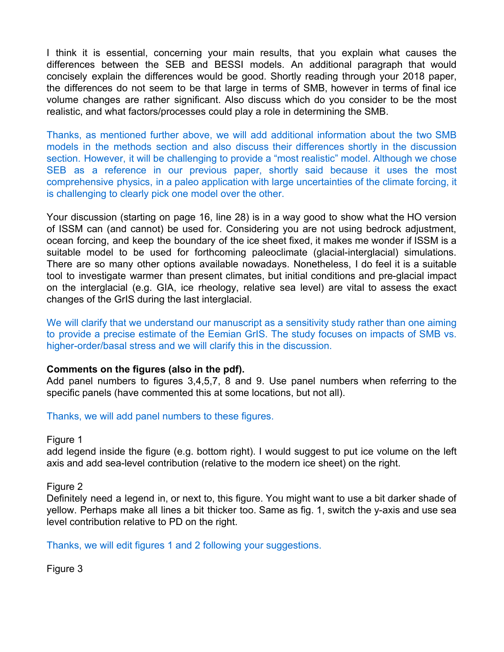I think it is essential, concerning your main results, that you explain what causes the differences between the SEB and BESSI models. An additional paragraph that would concisely explain the differences would be good. Shortly reading through your 2018 paper, the differences do not seem to be that large in terms of SMB, however in terms of final ice volume changes are rather significant. Also discuss which do you consider to be the most realistic, and what factors/processes could play a role in determining the SMB.

Thanks, as mentioned further above, we will add additional information about the two SMB models in the methods section and also discuss their differences shortly in the discussion section. However, it will be challenging to provide a "most realistic" model. Although we chose SEB as a reference in our previous paper, shortly said because it uses the most comprehensive physics, in a paleo application with large uncertainties of the climate forcing, it is challenging to clearly pick one model over the other.

Your discussion (starting on page 16, line 28) is in a way good to show what the HO version of ISSM can (and cannot) be used for. Considering you are not using bedrock adjustment, ocean forcing, and keep the boundary of the ice sheet fixed, it makes me wonder if ISSM is a suitable model to be used for forthcoming paleoclimate (glacial-interglacial) simulations. There are so many other options available nowadays. Nonetheless, I do feel it is a suitable tool to investigate warmer than present climates, but initial conditions and pre-glacial impact on the interglacial (e.g. GIA, ice rheology, relative sea level) are vital to assess the exact changes of the GrIS during the last interglacial.

We will clarify that we understand our manuscript as a sensitivity study rather than one aiming to provide a precise estimate of the Eemian GrIS. The study focuses on impacts of SMB vs. higher-order/basal stress and we will clarify this in the discussion.

## **Comments on the figures (also in the pdf).**

Add panel numbers to figures 3,4,5,7, 8 and 9. Use panel numbers when referring to the specific panels (have commented this at some locations, but not all).

## Thanks, we will add panel numbers to these figures.

Figure 1

add legend inside the figure (e.g. bottom right). I would suggest to put ice volume on the left axis and add sea-level contribution (relative to the modern ice sheet) on the right.

Figure 2

Definitely need a legend in, or next to, this figure. You might want to use a bit darker shade of yellow. Perhaps make all lines a bit thicker too. Same as fig. 1, switch the y-axis and use sea level contribution relative to PD on the right.

Thanks, we will edit figures 1 and 2 following your suggestions.

Figure 3